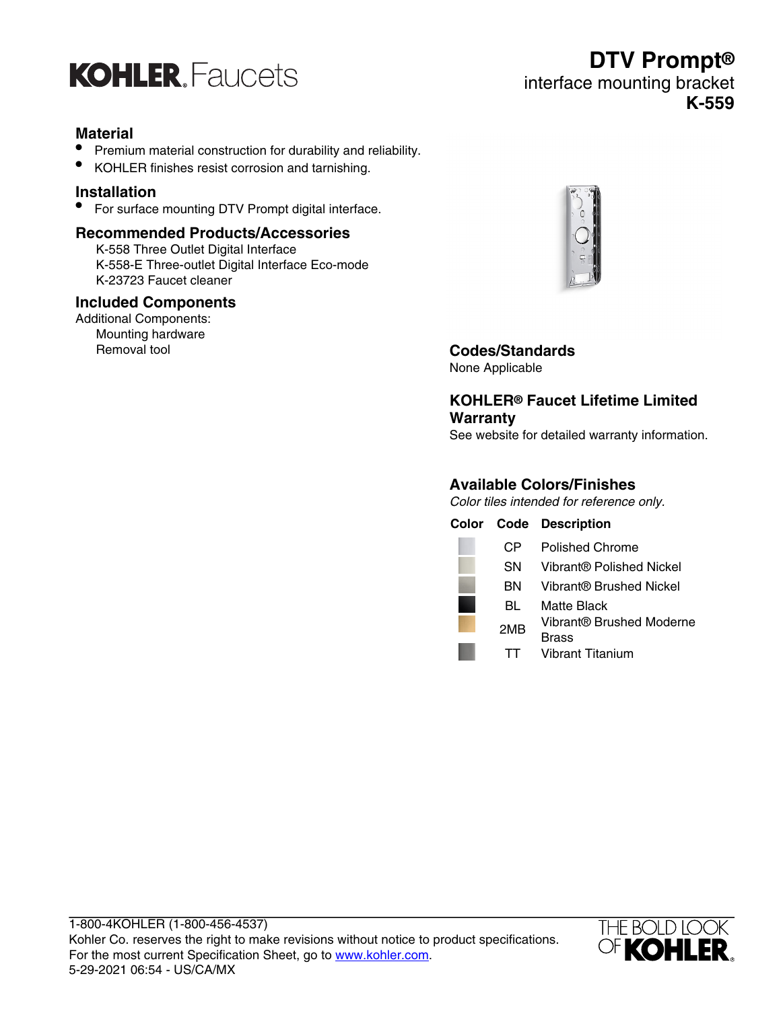

## **Material**

- Premium material construction for durability and reliability.
- KOHLER finishes resist corrosion and tarnishing.

## **Installation**

• For surface mounting DTV Prompt digital interface.

#### **Recommended Products/Accessories**

K-558 Three Outlet Digital Interface K-558-E Three-outlet Digital Interface Eco-mode K-23723 Faucet cleaner

#### **Included Components**

Additional Components: Mounting hardware<br>Removal tool



Removal tool **Codes/Standards** None Applicable

## **KOHLER® Faucet Lifetime Limited Warranty**

See website for detailed warranty information.

## **Available Colors/Finishes**

Color tiles intended for reference only.

|           | <b>Color Code Description</b>     |
|-----------|-----------------------------------|
| CP.       | <b>Polished Chrome</b>            |
| <b>SN</b> | Vibrant® Polished Nickel          |
| BN        | Vibrant® Brushed Nickel           |
| BL        | Matte Black                       |
| 2MB       | Vibrant® Brushed Moderne<br>Brass |
|           | <b>Vibrant Titanium</b>           |



## **DTV Prompt®** interface mounting bracket **K-559**